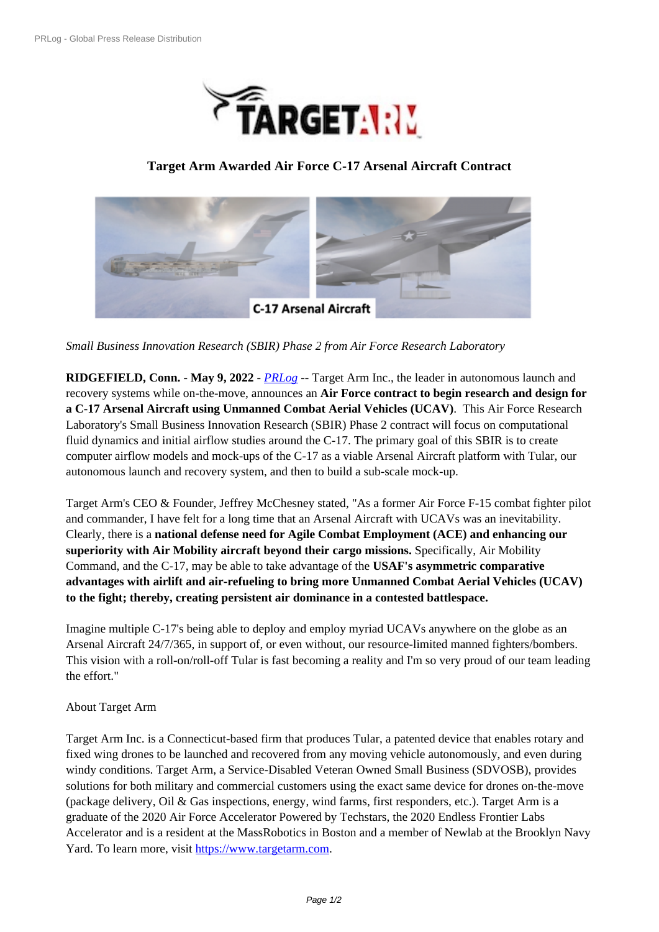

## **Target A[rm Awarded Air Force C-17 Arsenal Air](https://biz.prlog.org/targetarm/)craft Contract**



*Small [Business Innovation Research \(SBIR\) Phase 2 from Air Force Research Laboratory](https://www.prlog.org/12916606-17-composite-arsenal-aircraft-020122.png)*

**RIDGEFIELD, Conn.** - **May 9, 2022** - *PRLog* -- Target Arm Inc., the leader in autonomous launch and recovery systems while on-the-move, announces an **Air Force contract to begin research and design for a C-17 Arsenal Aircraft using Unmanned Combat Aerial Vehicles (UCAV)**. This Air Force Research Laboratory's Small Business Innovation [Researc](https://www.prlog.org)h (SBIR) Phase 2 contract will focus on computational fluid dynamics and initial airflow studies around the C-17. The primary goal of this SBIR is to create computer airflow models and mock-ups of the C-17 as a viable Arsenal Aircraft platform with Tular, our autonomous launch and recovery system, and then to build a sub-scale mock-up.

Target Arm's CEO & Founder, Jeffrey McChesney stated, "As a former Air Force F-15 combat fighter pilot and commander, I have felt for a long time that an Arsenal Aircraft with UCAVs was an inevitability. Clearly, there is a **national defense need for Agile Combat Employment (ACE) and enhancing our superiority with Air Mobility aircraft beyond their cargo missions.** Specifically, Air Mobility Command, and the C-17, may be able to take advantage of the **USAF's asymmetric comparative advantages with airlift and air-refueling to bring more Unmanned Combat Aerial Vehicles (UCAV) to the fight; thereby, creating persistent air dominance in a contested battlespace.**

Imagine multiple C-17's being able to deploy and employ myriad UCAVs anywhere on the globe as an Arsenal Aircraft 24/7/365, in support of, or even without, our resource-limited manned fighters/bombers. This vision with a roll-on/roll-off Tular is fast becoming a reality and I'm so very proud of our team leading the effort."

## About Target Arm

Target Arm Inc. is a Connecticut-based firm that produces Tular, a patented device that enables rotary and fixed wing drones to be launched and recovered from any moving vehicle autonomously, and even during windy conditions. Target Arm, a Service-Disabled Veteran Owned Small Business (SDVOSB), provides solutions for both military and commercial customers using the exact same device for drones on-the-move (package delivery, Oil & Gas inspections, energy, wind farms, first responders, etc.). Target Arm is a graduate of the 2020 Air Force Accelerator Powered by Techstars, the 2020 Endless Frontier Labs Accelerator and is a resident at the MassRobotics in Boston and a member of Newlab at the Brooklyn Navy Yard. To learn more, visit https://www.targetarm.com.